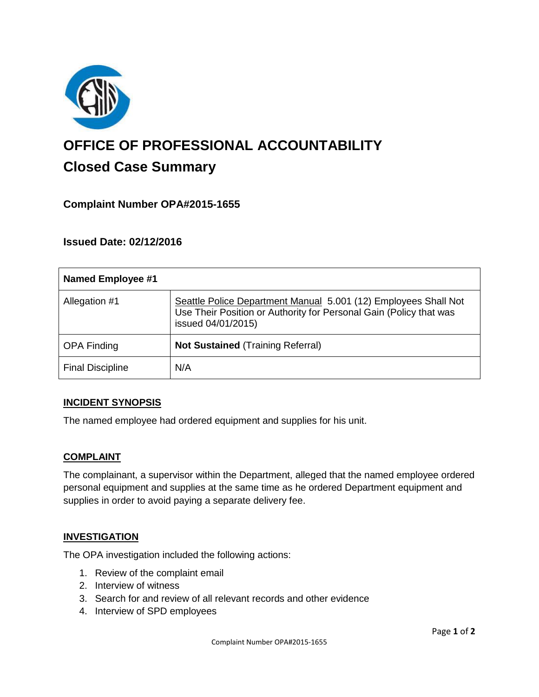

# **OFFICE OF PROFESSIONAL ACCOUNTABILITY Closed Case Summary**

## **Complaint Number OPA#2015-1655**

## **Issued Date: 02/12/2016**

| Named Employee #1       |                                                                                                                                                             |
|-------------------------|-------------------------------------------------------------------------------------------------------------------------------------------------------------|
| Allegation #1           | Seattle Police Department Manual 5.001 (12) Employees Shall Not<br>Use Their Position or Authority for Personal Gain (Policy that was<br>issued 04/01/2015) |
| <b>OPA Finding</b>      | <b>Not Sustained (Training Referral)</b>                                                                                                                    |
| <b>Final Discipline</b> | N/A                                                                                                                                                         |

## **INCIDENT SYNOPSIS**

The named employee had ordered equipment and supplies for his unit.

#### **COMPLAINT**

The complainant, a supervisor within the Department, alleged that the named employee ordered personal equipment and supplies at the same time as he ordered Department equipment and supplies in order to avoid paying a separate delivery fee.

## **INVESTIGATION**

The OPA investigation included the following actions:

- 1. Review of the complaint email
- 2. Interview of witness
- 3. Search for and review of all relevant records and other evidence
- 4. Interview of SPD employees